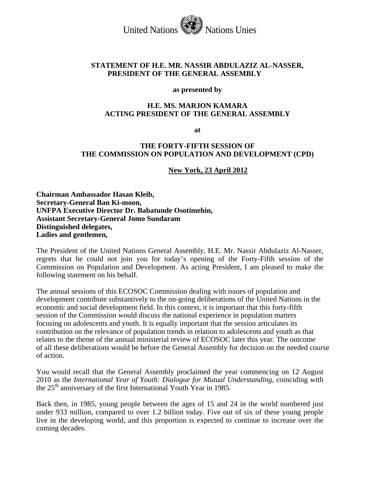United Nations Nations Unies

### **STATEMENT OF H.E. MR. NASSIR ABDULAZIZ AL-NASSER, PRESIDENT OF THE GENERAL ASSEMBLY**

#### **as presented by**

#### **H.E. MS. MARJON KAMARA ACTING PRESIDENT OF THE GENERAL ASSEMBLY**

**at** 

### **THE FORTY-FIFTH SESSION OF THE COMMISSION ON POPULATION AND DEVELOPMENT (CPD)**

**New York, 23 April 2012**

**Chairman Ambassador Hasan Kleib, Secretary-General Ban Ki-moon, UNFPA Executive Director Dr. Babatunde Osotimehin, Assistant Secretary-General Jomo Sundaram Distinguished delegates, Ladies and gentlemen,**

The President of the United Nations General Assembly, H.E. Mr. Nassir Abdulaziz Al-Nasser, regrets that he could not join you for today's opening of the Forty-Fifth session of the Commission on Population and Development. As acting President, I am pleased to make the following statement on his behalf.

The annual sessions of this ECOSOC Commission dealing with issues of population and development contribute substantively to the on-going deliberations of the United Nations in the economic and social development field. In this context, it is important that this forty-fifth session of the Commission would discuss the national experience in population matters focusing on adolescents and youth. It is equally important that the session articulates its contribution on the relevance of population trends in relation to adolescents and youth as that relates to the theme of the annual ministerial review of ECOSOC later this year. The outcome of all these deliberations would be before the General Assembly for decision on the needed course of action.

You would recall that the General Assembly proclaimed the year commencing on 12 August 2010 as the *International Year of Youth: Dialogue for Mutual Understanding*, coinciding with the 25<sup>th</sup> anniversary of the first International Youth Year in 1985.

Back then, in 1985, young people between the ages of 15 and 24 in the world numbered just under 933 million, compared to over 1.2 billion today. Five out of six of these young people live in the developing world, and this proportion is expected to continue to increase over the coming decades.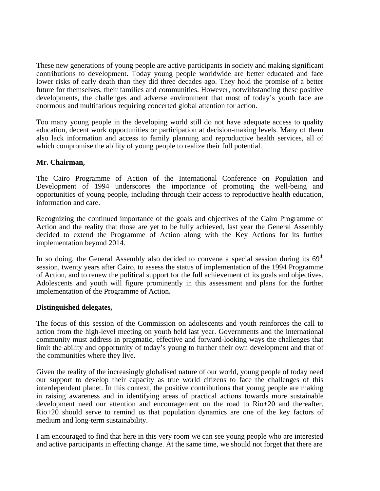These new generations of young people are active participants in society and making significant contributions to development. Today young people worldwide are better educated and face lower risks of early death than they did three decades ago. They hold the promise of a better future for themselves, their families and communities. However, notwithstanding these positive developments, the challenges and adverse environment that most of today's youth face are enormous and multifarious requiring concerted global attention for action.

Too many young people in the developing world still do not have adequate access to quality education, decent work opportunities or participation at decision-making levels. Many of them also lack information and access to family planning and reproductive health services, all of which compromise the ability of young people to realize their full potential.

# **Mr. Chairman,**

The Cairo Programme of Action of the International Conference on Population and Development of 1994 underscores the importance of promoting the well-being and opportunities of young people, including through their access to reproductive health education, information and care.

Recognizing the continued importance of the goals and objectives of the Cairo Programme of Action and the reality that those are yet to be fully achieved, last year the General Assembly decided to extend the Programme of Action along with the Key Actions for its further implementation beyond 2014.

In so doing, the General Assembly also decided to convene a special session during its  $69<sup>th</sup>$ session, twenty years after Cairo, to assess the status of implementation of the 1994 Programme of Action, and to renew the political support for the full achievement of its goals and objectives. Adolescents and youth will figure prominently in this assessment and plans for the further implementation of the Programme of Action.

## **Distinguished delegates,**

The focus of this session of the Commission on adolescents and youth reinforces the call to action from the high-level meeting on youth held last year. Governments and the international community must address in pragmatic, effective and forward-looking ways the challenges that limit the ability and opportunity of today's young to further their own development and that of the communities where they live.

Given the reality of the increasingly globalised nature of our world, young people of today need our support to develop their capacity as true world citizens to face the challenges of this interdependent planet. In this context, the positive contributions that young people are making in raising awareness and in identifying areas of practical actions towards more sustainable development need our attention and encouragement on the road to Rio+20 and thereafter. Rio+20 should serve to remind us that population dynamics are one of the key factors of medium and long-term sustainability.

I am encouraged to find that here in this very room we can see young people who are interested and active participants in effecting change. At the same time, we should not forget that there are